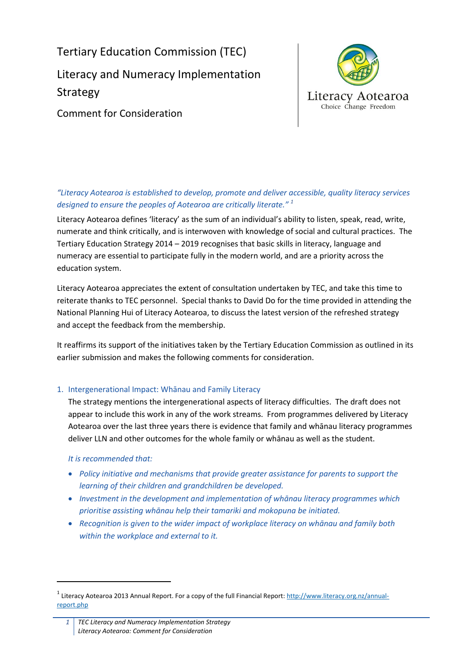Tertiary Education Commission (TEC) Literacy and Numeracy Implementation Strategy



Comment for Consideration

# *"Literacy Aotearoa is established to develop, promote and deliver accessible, quality literacy services designed to ensure the peoples of Aotearoa are critically literate." <sup>1</sup>*

Literacy Aotearoa defines 'literacy' as the sum of an individual's ability to listen, speak, read, write, numerate and think critically, and is interwoven with knowledge of social and cultural practices. The Tertiary Education Strategy 2014 – 2019 recognises that basic skills in literacy, language and numeracy are essential to participate fully in the modern world, and are a priority across the education system.

Literacy Aotearoa appreciates the extent of consultation undertaken by TEC, and take this time to reiterate thanks to TEC personnel. Special thanks to David Do for the time provided in attending the National Planning Hui of Literacy Aotearoa, to discuss the latest version of the refreshed strategy and accept the feedback from the membership.

It reaffirms its support of the initiatives taken by the Tertiary Education Commission as outlined in its earlier submission and makes the following comments for consideration.

# 1. Intergenerational Impact: Whānau and Family Literacy

The strategy mentions the intergenerational aspects of literacy difficulties. The draft does not appear to include this work in any of the work streams. From programmes delivered by Literacy Aotearoa over the last three years there is evidence that family and whānau literacy programmes deliver LLN and other outcomes for the whole family or whānau as well as the student.

### *It is recommended that:*

**.** 

- *Policy initiative and mechanisms that provide greater assistance for parents to support the learning of their children and grandchildren be developed.*
- *Investment in the development and implementation of whānau literacy programmes which prioritise assisting whānau help their tamariki and mokopuna be initiated.*
- *Recognition is given to the wider impact of workplace literacy on whānau and family both within the workplace and external to it.*

<sup>&</sup>lt;sup>1</sup> Literacy Aotearoa 2013 Annual Report. For a copy of the full Financial Report[: http://www.literacy.org.nz/annual](http://www.literacy.org.nz/annual-report.php)[report.php](http://www.literacy.org.nz/annual-report.php)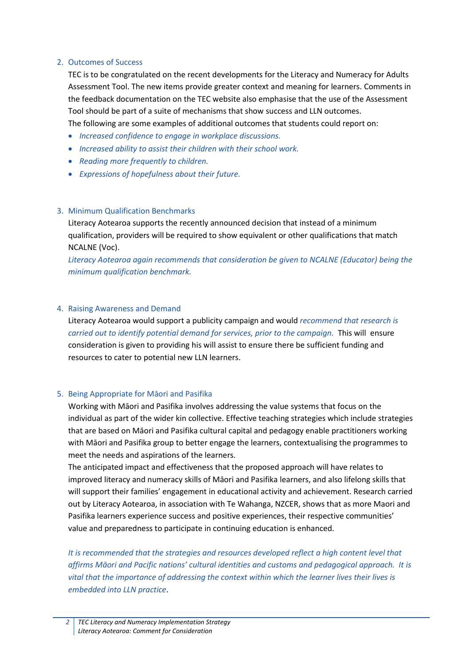#### 2. Outcomes of Success

TEC is to be congratulated on the recent developments for the Literacy and Numeracy for Adults Assessment Tool. The new items provide greater context and meaning for learners. Comments in the feedback documentation on the TEC website also emphasise that the use of the Assessment Tool should be part of a suite of mechanisms that show success and LLN outcomes.

The following are some examples of additional outcomes that students could report on:

- *Increased confidence to engage in workplace discussions.*
- *Increased ability to assist their children with their school work.*
- *Reading more frequently to children.*
- *Expressions of hopefulness about their future.*

### 3. Minimum Qualification Benchmarks

Literacy Aotearoa supports the recently announced decision that instead of a minimum qualification, providers will be required to show equivalent or other qualifications that match NCALNE (Voc).

*Literacy Aotearoa again recommends that consideration be given to NCALNE (Educator) being the minimum qualification benchmark.*

#### 4. Raising Awareness and Demand

Literacy Aotearoa would support a publicity campaign and would *recommend that research is carried out to identify potential demand for services, prior to the campaign.* This will ensure consideration is given to providing his will assist to ensure there be sufficient funding and resources to cater to potential new LLN learners.

### 5. Being Appropriate for Māori and Pasifika

Working with Māori and Pasifika involves addressing the value systems that focus on the individual as part of the wider kin collective. Effective teaching strategies which include strategies that are based on Māori and Pasifika cultural capital and pedagogy enable practitioners working with Māori and Pasifika group to better engage the learners, contextualising the programmes to meet the needs and aspirations of the learners.

The anticipated impact and effectiveness that the proposed approach will have relates to improved literacy and numeracy skills of Māori and Pasifika learners, and also lifelong skills that will support their families' engagement in educational activity and achievement. Research carried out by Literacy Aotearoa, in association with Te Wahanga, NZCER, shows that as more Maori and Pasifika learners experience success and positive experiences, their respective communities' value and preparedness to participate in continuing education is enhanced.

*It is recommended that the strategies and resources developed reflect a high content level that affirms Māori and Pacific nations' cultural identities and customs and pedagogical approach. It is vital that the importance of addressing the context within which the learner lives their lives is embedded into LLN practice*.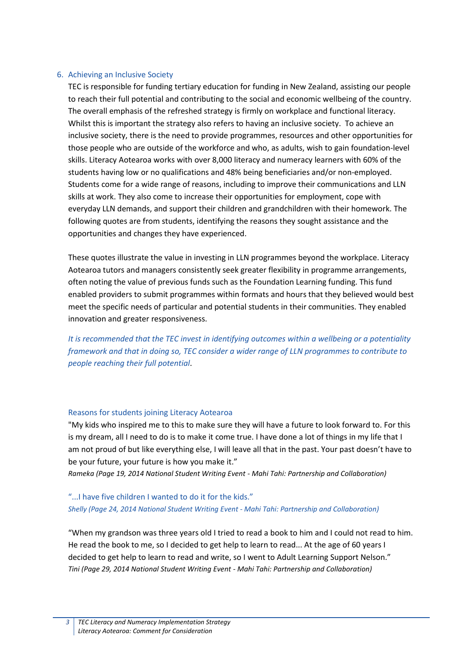#### 6. Achieving an Inclusive Society

TEC is responsible for funding tertiary education for funding in New Zealand, assisting our people to reach their full potential and contributing to the social and economic wellbeing of the country. The overall emphasis of the refreshed strategy is firmly on workplace and functional literacy. Whilst this is important the strategy also refers to having an inclusive society. To achieve an inclusive society, there is the need to provide programmes, resources and other opportunities for those people who are outside of the workforce and who, as adults, wish to gain foundation-level skills. Literacy Aotearoa works with over 8,000 literacy and numeracy learners with 60% of the students having low or no qualifications and 48% being beneficiaries and/or non-employed. Students come for a wide range of reasons, including to improve their communications and LLN skills at work. They also come to increase their opportunities for employment, cope with everyday LLN demands, and support their children and grandchildren with their homework. The following quotes are from students, identifying the reasons they sought assistance and the opportunities and changes they have experienced.

These quotes illustrate the value in investing in LLN programmes beyond the workplace. Literacy Aotearoa tutors and managers consistently seek greater flexibility in programme arrangements, often noting the value of previous funds such as the Foundation Learning funding. This fund enabled providers to submit programmes within formats and hours that they believed would best meet the specific needs of particular and potential students in their communities. They enabled innovation and greater responsiveness.

*It is recommended that the TEC invest in identifying outcomes within a wellbeing or a potentiality framework and that in doing so, TEC consider a wider range of LLN programmes to contribute to people reaching their full potential*.

#### Reasons for students joining Literacy Aotearoa

"My kids who inspired me to this to make sure they will have a future to look forward to. For this is my dream, all I need to do is to make it come true. I have done a lot of things in my life that I am not proud of but like everything else, I will leave all that in the past. Your past doesn't have to be your future, your future is how you make it."

*Rameka (Page 19, 2014 National Student Writing Event - Mahi Tahi: Partnership and Collaboration)*

# "...I have five children I wanted to do it for the kids." *Shelly (Page 24, 2014 National Student Writing Event - Mahi Tahi: Partnership and Collaboration)*

"When my grandson was three years old I tried to read a book to him and I could not read to him. He read the book to me, so I decided to get help to learn to read... At the age of 60 years I decided to get help to learn to read and write, so I went to Adult Learning Support Nelson." *Tini (Page 29, 2014 National Student Writing Event - Mahi Tahi: Partnership and Collaboration)*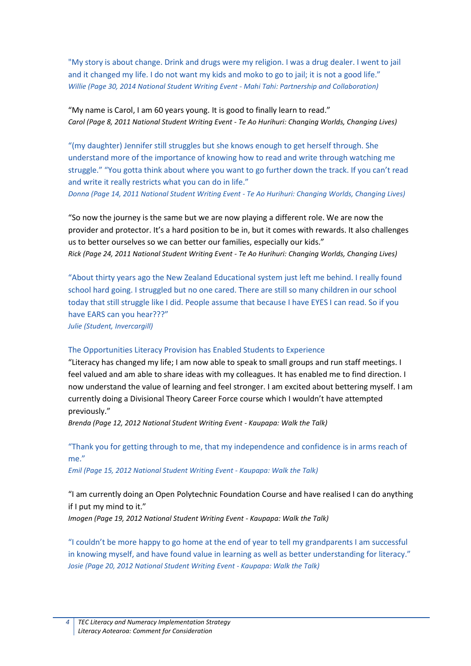"My story is about change. Drink and drugs were my religion. I was a drug dealer. I went to jail and it changed my life. I do not want my kids and moko to go to jail; it is not a good life." *Willie (Page 30, 2014 National Student Writing Event - Mahi Tahi: Partnership and Collaboration)*

### "My name is Carol, I am 60 years young. It is good to finally learn to read." *Carol (Page 8, 2011 National Student Writing Event - Te Ao Hurihuri: Changing Worlds, Changing Lives)*

"(my daughter) Jennifer still struggles but she knows enough to get herself through. She understand more of the importance of knowing how to read and write through watching me struggle." "You gotta think about where you want to go further down the track. If you can't read and write it really restricts what you can do in life."

*Donna (Page 14, 2011 National Student Writing Event - Te Ao Hurihuri: Changing Worlds, Changing Lives)*

"So now the journey is the same but we are now playing a different role. We are now the provider and protector. It's a hard position to be in, but it comes with rewards. It also challenges us to better ourselves so we can better our families, especially our kids." *Rick (Page 24, 2011 National Student Writing Event - Te Ao Hurihuri: Changing Worlds, Changing Lives)*

"About thirty years ago the New Zealand Educational system just left me behind. I really found school hard going. I struggled but no one cared. There are still so many children in our school today that still struggle like I did. People assume that because I have EYES I can read. So if you have EARS can you hear???"

*Julie (Student, Invercargill)*

#### The Opportunities Literacy Provision has Enabled Students to Experience

"Literacy has changed my life; I am now able to speak to small groups and run staff meetings. I feel valued and am able to share ideas with my colleagues. It has enabled me to find direction. I now understand the value of learning and feel stronger. I am excited about bettering myself. I am currently doing a Divisional Theory Career Force course which I wouldn't have attempted previously."

*Brenda (Page 12, 2012 National Student Writing Event - Kaupapa: Walk the Talk)*

### "Thank you for getting through to me, that my independence and confidence is in arms reach of me."

*Emil (Page 15, 2012 National Student Writing Event - Kaupapa: Walk the Talk)*

"I am currently doing an Open Polytechnic Foundation Course and have realised I can do anything if I put my mind to it."

*Imogen (Page 19, 2012 National Student Writing Event - Kaupapa: Walk the Talk)*

"I couldn't be more happy to go home at the end of year to tell my grandparents I am successful in knowing myself, and have found value in learning as well as better understanding for literacy." *Josie (Page 20, 2012 National Student Writing Event - Kaupapa: Walk the Talk)*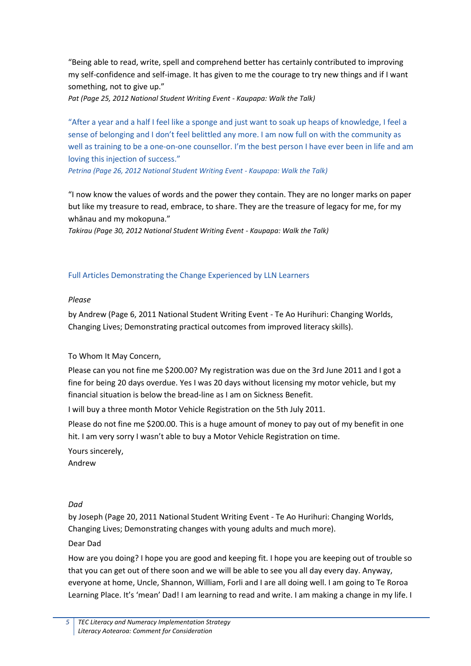"Being able to read, write, spell and comprehend better has certainly contributed to improving my self-confidence and self-image. It has given to me the courage to try new things and if I want something, not to give up."

*Pat (Page 25, 2012 National Student Writing Event - Kaupapa: Walk the Talk)*

"After a year and a half I feel like a sponge and just want to soak up heaps of knowledge, I feel a sense of belonging and I don't feel belittled any more. I am now full on with the community as well as training to be a one-on-one counsellor. I'm the best person I have ever been in life and am loving this injection of success."

*Petrina (Page 26, 2012 National Student Writing Event - Kaupapa: Walk the Talk)*

"I now know the values of words and the power they contain. They are no longer marks on paper but like my treasure to read, embrace, to share. They are the treasure of legacy for me, for my whānau and my mokopuna."

*Takirau (Page 30, 2012 National Student Writing Event - Kaupapa: Walk the Talk)*

# Full Articles Demonstrating the Change Experienced by LLN Learners

### *Please*

by Andrew (Page 6, 2011 National Student Writing Event - Te Ao Hurihuri: Changing Worlds, Changing Lives; Demonstrating practical outcomes from improved literacy skills).

### To Whom It May Concern,

Please can you not fine me \$200.00? My registration was due on the 3rd June 2011 and I got a fine for being 20 days overdue. Yes I was 20 days without licensing my motor vehicle, but my financial situation is below the bread-line as I am on Sickness Benefit.

I will buy a three month Motor Vehicle Registration on the 5th July 2011.

Please do not fine me \$200.00. This is a huge amount of money to pay out of my benefit in one hit. I am very sorry I wasn't able to buy a Motor Vehicle Registration on time.

Yours sincerely,

Andrew

# *Dad*

by Joseph (Page 20, 2011 National Student Writing Event - Te Ao Hurihuri: Changing Worlds, Changing Lives; Demonstrating changes with young adults and much more).

### Dear Dad

How are you doing? I hope you are good and keeping fit. I hope you are keeping out of trouble so that you can get out of there soon and we will be able to see you all day every day. Anyway, everyone at home, Uncle, Shannon, William, Forli and I are all doing well. I am going to Te Roroa Learning Place. It's 'mean' Dad! I am learning to read and write. I am making a change in my life. I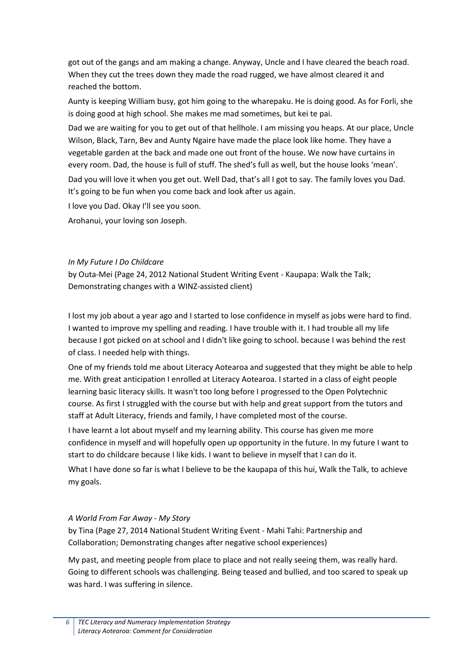got out of the gangs and am making a change. Anyway, Uncle and I have cleared the beach road. When they cut the trees down they made the road rugged, we have almost cleared it and reached the bottom.

Aunty is keeping William busy, got him going to the wharepaku. He is doing good. As for Forli, she is doing good at high school. She makes me mad sometimes, but kei te pai.

Dad we are waiting for you to get out of that hellhole. I am missing you heaps. At our place, Uncle Wilson, Black, Tarn, Bev and Aunty Ngaire have made the place look like home. They have a vegetable garden at the back and made one out front of the house. We now have curtains in every room. Dad, the house is full of stuff. The shed's full as well, but the house looks 'mean'. Dad you will love it when you get out. Well Dad, that's all I got to say. The family loves you Dad. It's going to be fun when you come back and look after us again.

I love you Dad. Okay I'll see you soon.

Arohanui, your loving son Joseph.

#### *In My Future I Do Childcare*

by Outa-Mei (Page 24, 2012 National Student Writing Event - Kaupapa: Walk the Talk; Demonstrating changes with a WINZ-assisted client)

I lost my job about a year ago and I started to lose confidence in myself as jobs were hard to find. I wanted to improve my spelling and reading. I have trouble with it. I had trouble all my life because I got picked on at school and I didn't like going to school. because I was behind the rest of class. I needed help with things.

One of my friends told me about Literacy Aotearoa and suggested that they might be able to help me. With great anticipation I enrolled at Literacy Aotearoa. I started in a class of eight people learning basic literacy skills. It wasn't too long before I progressed to the Open Polytechnic course. As first I struggled with the course but with help and great support from the tutors and staff at Adult Literacy, friends and family, I have completed most of the course.

I have learnt a lot about myself and my learning ability. This course has given me more confidence in myself and will hopefully open up opportunity in the future. In my future I want to start to do childcare because I like kids. I want to believe in myself that I can do it.

What I have done so far is what I believe to be the kaupapa of this hui, Walk the Talk, to achieve my goals.

### *A World From Far Away - My Story*

by Tina (Page 27, 2014 National Student Writing Event - Mahi Tahi: Partnership and Collaboration; Demonstrating changes after negative school experiences)

My past, and meeting people from place to place and not really seeing them, was really hard. Going to different schools was challenging. Being teased and bullied, and too scared to speak up was hard. I was suffering in silence.